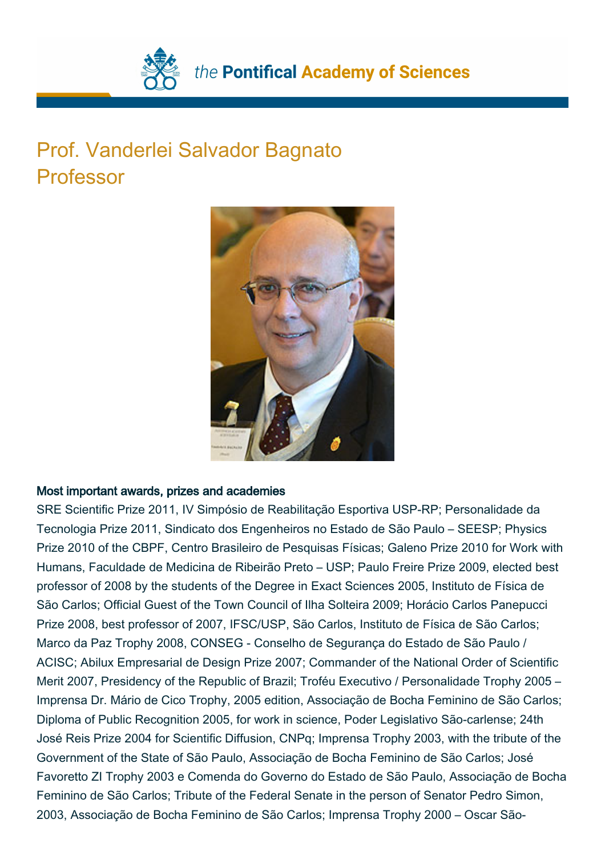

## Prof. Vanderlei Salvador Bagnato Professor



## Most important awards, prizes and academies

SRE Scientific Prize 2011, IV Simpósio de Reabilitação Esportiva USP-RP; Personalidade da Tecnologia Prize 2011, Sindicato dos Engenheiros no Estado de São Paulo – SEESP; Physics Prize 2010 of the CBPF, Centro Brasileiro de Pesquisas Físicas; Galeno Prize 2010 for Work with Humans, Faculdade de Medicina de Ribeirão Preto – USP; Paulo Freire Prize 2009, elected best professor of 2008 by the students of the Degree in Exact Sciences 2005, Instituto de Física de São Carlos; Official Guest of the Town Council of Ilha Solteira 2009; Horácio Carlos Panepucci Prize 2008, best professor of 2007, IFSC/USP, São Carlos, Instituto de Física de São Carlos; Marco da Paz Trophy 2008, CONSEG - Conselho de Segurança do Estado de São Paulo / ACISC; Abilux Empresarial de Design Prize 2007; Commander of the National Order of Scientific Merit 2007, Presidency of the Republic of Brazil; Troféu Executivo / Personalidade Trophy 2005 – Imprensa Dr. Mário de Cico Trophy, 2005 edition, Associação de Bocha Feminino de São Carlos; Diploma of Public Recognition 2005, for work in science, Poder Legislativo São-carlense; 24th José Reis Prize 2004 for Scientific Diffusion, CNPq; Imprensa Trophy 2003, with the tribute of the Government of the State of São Paulo, Associação de Bocha Feminino de São Carlos; José Favoretto ZI Trophy 2003 e Comenda do Governo do Estado de São Paulo, Associação de Bocha Feminino de São Carlos; Tribute of the Federal Senate in the person of Senator Pedro Simon, 2003, Associação de Bocha Feminino de São Carlos; Imprensa Trophy 2000 – Oscar São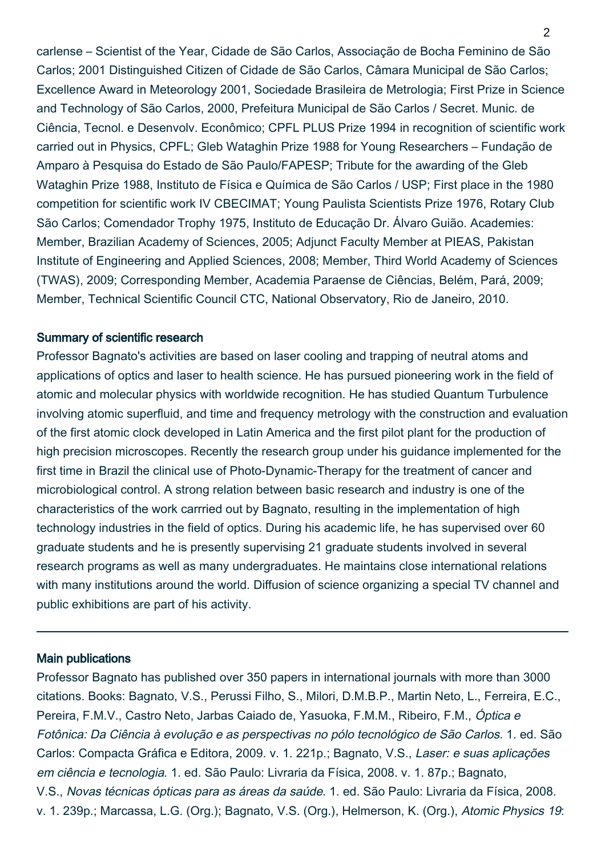carlense – Scientist of the Year, Cidade de São Carlos, Associação de Bocha Feminino de São Carlos; 2001 Distinguished Citizen of Cidade de São Carlos, Câmara Municipal de São Carlos; Excellence Award in Meteorology 2001, Sociedade Brasileira de Metrologia; First Prize in Science and Technology of São Carlos, 2000, Prefeitura Municipal de São Carlos / Secret. Munic. de Ciência, Tecnol. e Desenvolv. Econômico; CPFL PLUS Prize 1994 in recognition of scientific work carried out in Physics, CPFL; Gleb Wataghin Prize 1988 for Young Researchers – Fundação de Amparo à Pesquisa do Estado de São Paulo/FAPESP; Tribute for the awarding of the Gleb Wataghin Prize 1988, Instituto de Física e Química de São Carlos / USP; First place in the 1980 competition for scientific work IV CBECIMAT; Young Paulista Scientists Prize 1976, Rotary Club São Carlos; Comendador Trophy 1975, Instituto de Educação Dr. Álvaro Guião. Academies: Member, Brazilian Academy of Sciences, 2005; Adjunct Faculty Member at PIEAS, Pakistan Institute of Engineering and Applied Sciences, 2008; Member, Third World Academy of Sciences (TWAS), 2009; Corresponding Member, Academia Paraense de Ciências, Belém, Pará, 2009; Member, Technical Scientific Council CTC, National Observatory, Rio de Janeiro, 2010.

## Summary of scientific research

Professor Bagnato's activities are based on laser cooling and trapping of neutral atoms and applications of optics and laser to health science. He has pursued pioneering work in the field of atomic and molecular physics with worldwide recognition. He has studied Quantum Turbulence involving atomic superfluid, and time and frequency metrology with the construction and evaluation of the first atomic clock developed in Latin America and the first pilot plant for the production of high precision microscopes. Recently the research group under his guidance implemented for the first time in Brazil the clinical use of Photo-Dynamic-Therapy for the treatment of cancer and microbiological control. A strong relation between basic research and industry is one of the characteristics of the work carrried out by Bagnato, resulting in the implementation of high technology industries in the field of optics. During his academic life, he has supervised over 60 graduate students and he is presently supervising 21 graduate students involved in several research programs as well as many undergraduates. He maintains close international relations with many institutions around the world. Diffusion of science organizing a special TV channel and public exhibitions are part of his activity.

## Main publications

Professor Bagnato has published over 350 papers in international journals with more than 3000 citations. Books: Bagnato, V.S., Perussi Filho, S., Milori, D.M.B.P., Martin Neto, L., Ferreira, E.C., Pereira, F.M.V., Castro Neto, Jarbas Caiado de, Yasuoka, F.M.M., Ribeiro, F.M., Óptica e Fotônica: Da Ciência à evolução e as perspectivas no pólo tecnológico de São Carlos. 1. ed. São Carlos: Compacta Gráfica e Editora, 2009. v. 1. 221p.; Bagnato, V.S., Laser: e suas aplicações em ciência e tecnologia. 1. ed. São Paulo: Livraria da Física, 2008. v. 1. 87p.; Bagnato, V.S., Novas técnicas ópticas para as áreas da saúde. 1. ed. São Paulo: Livraria da Física, 2008. v. 1. 239p.; Marcassa, L.G. (Org.); Bagnato, V.S. (Org.), Helmerson, K. (Org.), Atomic Physics 19: